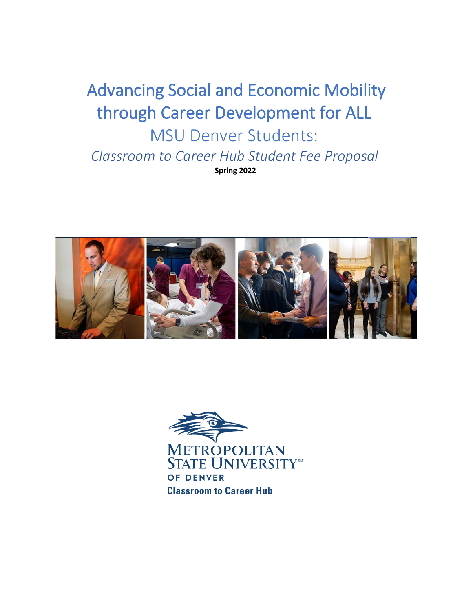# Advancing Social and Economic Mobility through Career Development for ALL MSU Denver Students: *Classroom to Career Hub Student Fee Proposal* **Spring 2022**



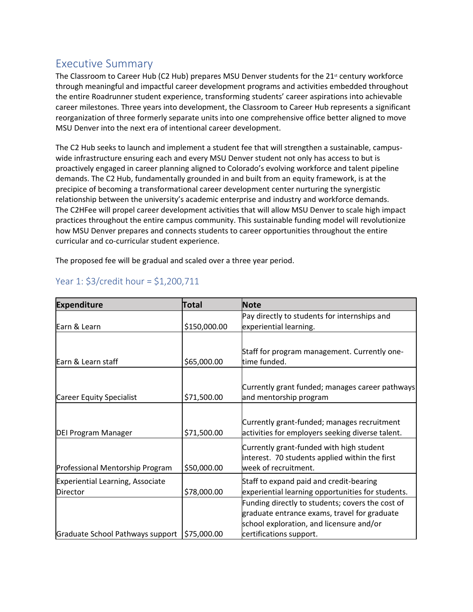## Executive Summary

The Classroom to Career Hub (C2 Hub) prepares MSU Denver students for the 21<sup>st</sup> century workforce through meaningful and impactful career development programs and activities embedded throughout the entire Roadrunner student experience, transforming students' career aspirations into achievable career milestones. Three years into development, the Classroom to Career Hub represents a significant reorganization of three formerly separate units into one comprehensive office better aligned to move MSU Denver into the next era of intentional career development.

The C2 Hub seeks to launch and implement a student fee that will strengthen a sustainable, campuswide infrastructure ensuring each and every MSU Denver student not only has access to but is proactively engaged in career planning aligned to Colorado's evolving workforce and talent pipeline demands. The C2 Hub, fundamentally grounded in and built from an equity framework, is at the precipice of becoming a transformational career development center nurturing the synergistic relationship between the university's academic enterprise and industry and workforce demands. The C2HFee will propel career development activities that will allow MSU Denver to scale high impact practices throughout the entire campus community. This sustainable funding model will revolutionize how MSU Denver prepares and connects students to career opportunities throughout the entire curricular and co-curricular student experience.

The proposed fee will be gradual and scaled over a three year period.

| <b>Expenditure</b>                           | Total        | <b>Note</b>                                                                                                                                                             |
|----------------------------------------------|--------------|-------------------------------------------------------------------------------------------------------------------------------------------------------------------------|
| Earn & Learn                                 | \$150,000.00 | Pay directly to students for internships and<br>experiential learning.                                                                                                  |
| Earn & Learn staff                           | \$65,000.00  | Staff for program management. Currently one-<br>time funded.                                                                                                            |
| Career Equity Specialist                     | \$71,500.00  | Currently grant funded; manages career pathways<br>and mentorship program                                                                                               |
| <b>DEI Program Manager</b>                   | \$71,500.00  | Currently grant-funded; manages recruitment<br>activities for employers seeking diverse talent.                                                                         |
| Professional Mentorship Program              | \$50,000.00  | Currently grant-funded with high student<br>interest. 70 students applied within the first<br>week of recruitment.                                                      |
| Experiential Learning, Associate<br>Director | \$78,000.00  | Staff to expand paid and credit-bearing<br>experiential learning opportunities for students.                                                                            |
| Graduate School Pathways support             | \$75,000.00  | Funding directly to students; covers the cost of<br>graduate entrance exams, travel for graduate<br>school exploration, and licensure and/or<br>certifications support. |

### Year 1: \$3/credit hour = \$1,200,711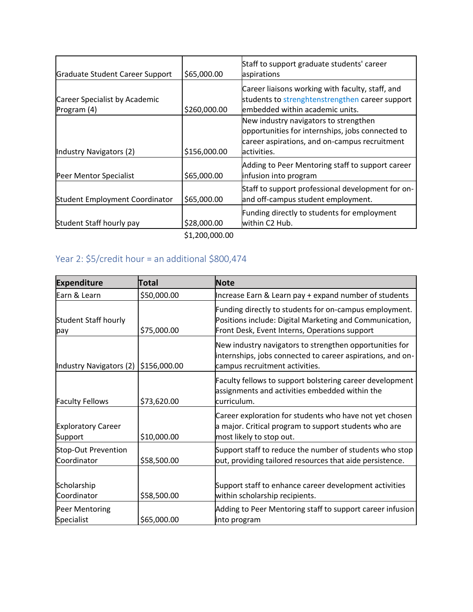| Graduate Student Career Support              | \$65,000.00                   | Staff to support graduate students' career<br>aspirations                                                                                                  |
|----------------------------------------------|-------------------------------|------------------------------------------------------------------------------------------------------------------------------------------------------------|
| Career Specialist by Academic<br>Program (4) | \$260,000.00                  | Career liaisons working with faculty, staff, and<br>students to strenghtenstrengthen career support<br>embedded within academic units.                     |
| Industry Navigators (2)                      | \$156,000.00                  | New industry navigators to strengthen<br>opportunities for internships, jobs connected to<br>career aspirations, and on-campus recruitment<br>lactivities. |
| Peer Mentor Specialist                       | \$65,000.00                   | Adding to Peer Mentoring staff to support career<br>infusion into program                                                                                  |
| Student Employment Coordinator               | \$65,000.00                   | Staff to support professional development for on-<br>and off-campus student employment.                                                                    |
| Student Staff hourly pay                     | \$28,000.00<br>\$1,200,000.00 | Funding directly to students for employment<br>within C2 Hub.                                                                                              |

# Year 2: \$5/credit hour = an additional \$800,474

| <b>Expenditure</b>                   | Total        | <b>Note</b>                                                                                                                                                        |
|--------------------------------------|--------------|--------------------------------------------------------------------------------------------------------------------------------------------------------------------|
| Earn & Learn                         | \$50,000.00  | Increase Earn & Learn pay + expand number of students                                                                                                              |
| Student Staff hourly<br>pay          | \$75,000.00  | Funding directly to students for on-campus employment.<br>Positions include: Digital Marketing and Communication,<br>Front Desk, Event Interns, Operations support |
| Industry Navigators (2)              | \$156,000.00 | New industry navigators to strengthen opportunities for<br>internships, jobs connected to career aspirations, and on-<br>campus recruitment activities.            |
| <b>Faculty Fellows</b>               | \$73,620.00  | Faculty fellows to support bolstering career development<br>assignments and activities embedded within the<br>curriculum.                                          |
| <b>Exploratory Career</b><br>Support | \$10,000.00  | Career exploration for students who have not yet chosen<br>a major. Critical program to support students who are<br>most likely to stop out.                       |
| Stop-Out Prevention<br>Coordinator   | \$58,500.00  | Support staff to reduce the number of students who stop<br>out, providing tailored resources that aide persistence.                                                |
| Scholarship<br>Coordinator           | \$58,500.00  | Support staff to enhance career development activities<br>within scholarship recipients.                                                                           |
| Peer Mentoring<br>Specialist         | \$65,000.00  | Adding to Peer Mentoring staff to support career infusion<br>into program                                                                                          |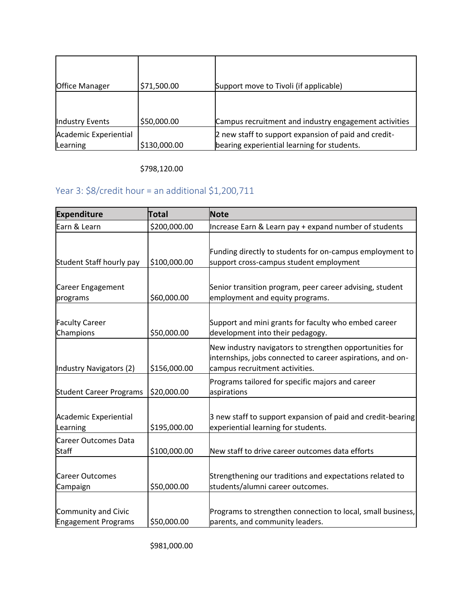| <b>Office Manager</b>             | \$71,500.00  | Support move to Tivoli (if applicable)                                                              |
|-----------------------------------|--------------|-----------------------------------------------------------------------------------------------------|
| <b>Industry Events</b>            | \$50,000.00  | Campus recruitment and industry engagement activities                                               |
| Academic Experiential<br>Learning | \$130,000.00 | 2 new staff to support expansion of paid and credit-<br>bearing experiential learning for students. |

\$798,120.00

# Year 3: \$8/credit hour = an additional \$1,200,711

| <b>Expenditure</b>             | Total        | <b>Note</b>                                                 |
|--------------------------------|--------------|-------------------------------------------------------------|
| Earn & Learn                   | \$200,000.00 | Increase Earn & Learn pay + expand number of students       |
|                                |              |                                                             |
|                                |              | Funding directly to students for on-campus employment to    |
| Student Staff hourly pay       | \$100,000.00 | support cross-campus student employment                     |
|                                |              |                                                             |
| Career Engagement              |              | Senior transition program, peer career advising, student    |
| programs                       | \$60,000.00  | employment and equity programs.                             |
|                                |              |                                                             |
| <b>Faculty Career</b>          |              | Support and mini grants for faculty who embed career        |
| Champions                      | \$50,000.00  | development into their pedagogy.                            |
|                                |              | New industry navigators to strengthen opportunities for     |
|                                |              | internships, jobs connected to career aspirations, and on-  |
| Industry Navigators (2)        | \$156,000.00 | campus recruitment activities.                              |
|                                |              | Programs tailored for specific majors and career            |
| <b>Student Career Programs</b> | \$20,000.00  | aspirations                                                 |
|                                |              |                                                             |
| Academic Experiential          |              | 3 new staff to support expansion of paid and credit-bearing |
| Learning                       | \$195,000.00 | experiential learning for students.                         |
| <b>Career Outcomes Data</b>    |              |                                                             |
| <b>Staff</b>                   | \$100,000.00 | New staff to drive career outcomes data efforts             |
|                                |              |                                                             |
| <b>Career Outcomes</b>         |              | Strengthening our traditions and expectations related to    |
| Campaign                       | \$50,000.00  | students/alumni career outcomes.                            |
|                                |              |                                                             |
| Community and Civic            |              | Programs to strengthen connection to local, small business, |
| <b>Engagement Programs</b>     | \$50,000.00  | parents, and community leaders.                             |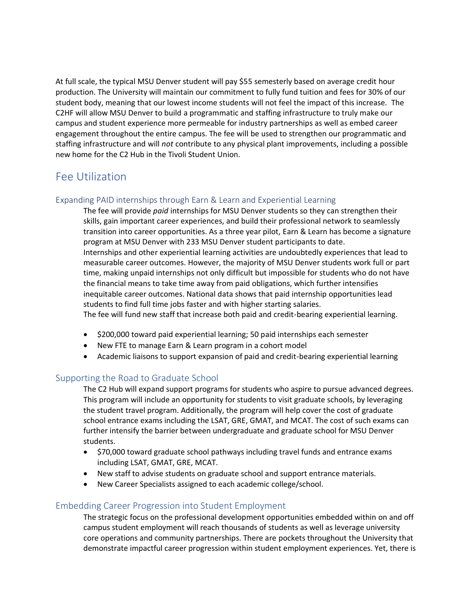At full scale, the typical MSU Denver student will pay \$55 semesterly based on average credit hour production. The University will maintain our commitment to fully fund tuition and fees for 30% of our student body, meaning that our lowest income students will not feel the impact of this increase. The C2HF will allow MSU Denver to build a programmatic and staffing infrastructure to truly make our campus and student experience more permeable for industry partnerships as well as embed career engagement throughout the entire campus. The fee will be used to strengthen our programmatic and staffing infrastructure and will *not* contribute to any physical plant improvements, including a possible new home for the C2 Hub in the Tivoli Student Union.

## Fee Utilization

#### Expanding PAID internships through Earn & Learn and Experiential Learning

The fee will provide *paid* internships for MSU Denver students so they can strengthen their skills, gain important career experiences, and build their professional network to seamlessly transition into career opportunities. As a three year pilot, Earn & Learn has become a signature program at MSU Denver with 233 MSU Denver student participants to date. Internships and other experiential learning activities are undoubtedly experiences that lead to measurable career outcomes. However, the majority of MSU Denver students work full or part time, making unpaid internships not only difficult but impossible for students who do not have the financial means to take time away from paid obligations, which further intensifies inequitable career outcomes. National data shows that paid internship opportunities lead students to find full time jobs faster and with higher starting salaries. The fee will fund new staff that increase both paid and credit-bearing experiential learning.

- \$200,000 toward paid experiential learning; 50 paid internships each semester
- New FTE to manage Earn & Learn program in a cohort model
- Academic liaisons to support expansion of paid and credit-bearing experiential learning

#### Supporting the Road to Graduate School

The C2 Hub will expand support programs for students who aspire to pursue advanced degrees. This program will include an opportunity for students to visit graduate schools, by leveraging the student travel program. Additionally, the program will help cover the cost of graduate school entrance exams including the LSAT, GRE, GMAT, and MCAT. The cost of such exams can further intensify the barrier between undergraduate and graduate school for MSU Denver students.

- \$70,000 toward graduate school pathways including travel funds and entrance exams including LSAT, GMAT, GRE, MCAT.
- New staff to advise students on graduate school and support entrance materials.
- New Career Specialists assigned to each academic college/school.

#### Embedding Career Progression into Student Employment

The strategic focus on the professional development opportunities embedded within on and off campus student employment will reach thousands of students as well as leverage university core operations and community partnerships. There are pockets throughout the University that demonstrate impactful career progression within student employment experiences. Yet, there is